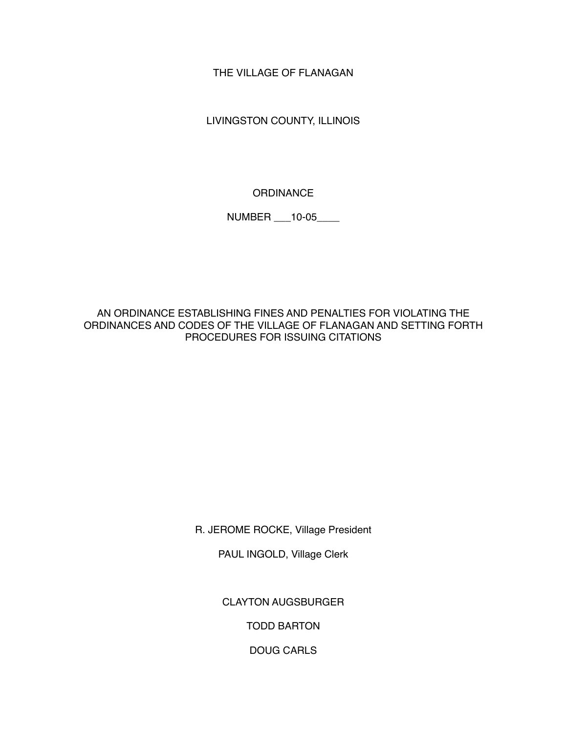THE VILLAGE OF FLANAGAN

LIVINGSTON COUNTY, ILLINOIS

**ORDINANCE** 

NUMBER \_\_\_10-05\_\_\_\_

AN ORDINANCE ESTABLISHING FINES AND PENALTIES FOR VIOLATING THE ORDINANCES AND CODES OF THE VILLAGE OF FLANAGAN AND SETTING FORTH PROCEDURES FOR ISSUING CITATIONS

R. JEROME ROCKE, Village President

PAUL INGOLD, Village Clerk

CLAYTON AUGSBURGER

TODD BARTON

DOUG CARLS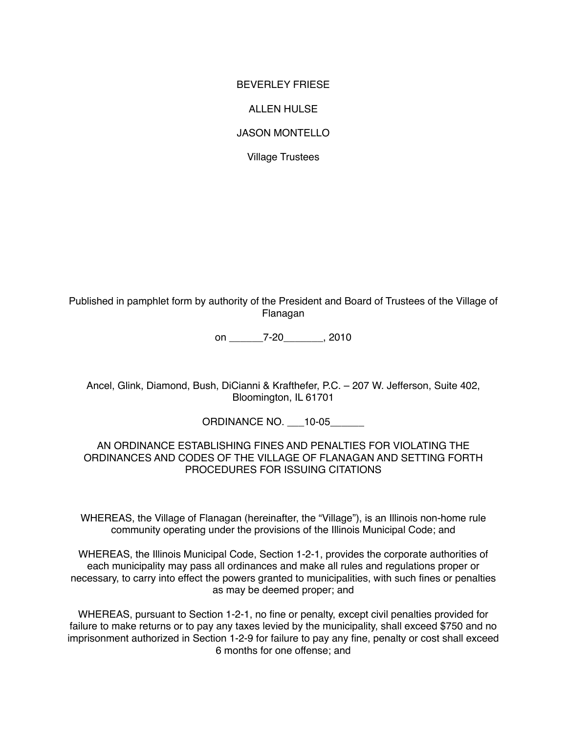#### BEVERLEY FRIESE

#### ALLEN HULSE

### JASON MONTELLO

Village Trustees

Published in pamphlet form by authority of the President and Board of Trustees of the Village of Flanagan

on \_\_\_\_\_\_7-20\_\_\_\_\_\_\_, 2010

Ancel, Glink, Diamond, Bush, DiCianni & Krafthefer, P.C. – 207 W. Jefferson, Suite 402, Bloomington, IL 61701

ORDINANCE NO. \_\_\_10-05\_\_\_\_\_\_

### AN ORDINANCE ESTABLISHING FINES AND PENALTIES FOR VIOLATING THE ORDINANCES AND CODES OF THE VILLAGE OF FLANAGAN AND SETTING FORTH PROCEDURES FOR ISSUING CITATIONS

WHEREAS, the Village of Flanagan (hereinafter, the "Village"), is an Illinois non-home rule community operating under the provisions of the Illinois Municipal Code; and

WHEREAS, the Illinois Municipal Code, Section 1-2-1, provides the corporate authorities of each municipality may pass all ordinances and make all rules and regulations proper or necessary, to carry into effect the powers granted to municipalities, with such fines or penalties as may be deemed proper; and

WHEREAS, pursuant to Section 1-2-1, no fine or penalty, except civil penalties provided for failure to make returns or to pay any taxes levied by the municipality, shall exceed \$750 and no imprisonment authorized in Section 1-2-9 for failure to pay any fine, penalty or cost shall exceed 6 months for one offense; and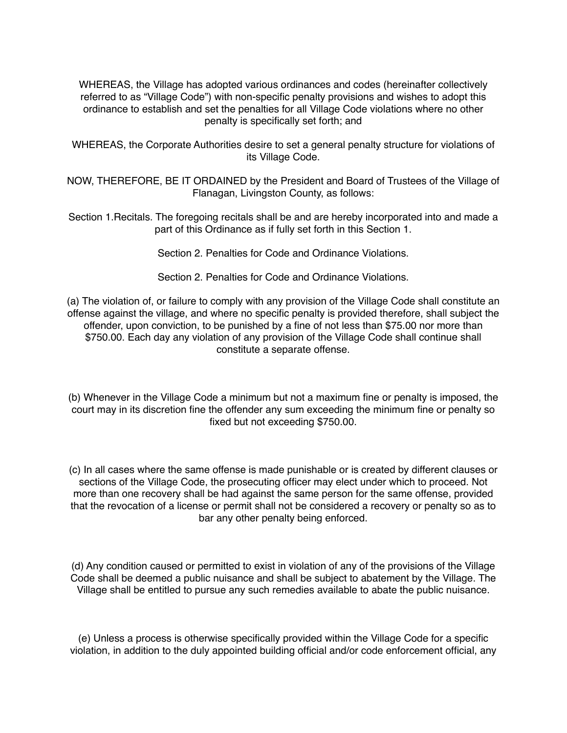WHEREAS, the Village has adopted various ordinances and codes (hereinafter collectively referred to as "Village Code") with non-specific penalty provisions and wishes to adopt this ordinance to establish and set the penalties for all Village Code violations where no other penalty is specifically set forth; and

WHEREAS, the Corporate Authorities desire to set a general penalty structure for violations of its Village Code.

NOW, THEREFORE, BE IT ORDAINED by the President and Board of Trustees of the Village of Flanagan, Livingston County, as follows:

Section 1.Recitals. The foregoing recitals shall be and are hereby incorporated into and made a part of this Ordinance as if fully set forth in this Section 1.

Section 2. Penalties for Code and Ordinance Violations.

Section 2. Penalties for Code and Ordinance Violations.

(a) The violation of, or failure to comply with any provision of the Village Code shall constitute an offense against the village, and where no specific penalty is provided therefore, shall subject the offender, upon conviction, to be punished by a fine of not less than \$75.00 nor more than \$750.00. Each day any violation of any provision of the Village Code shall continue shall constitute a separate offense.

(b) Whenever in the Village Code a minimum but not a maximum fine or penalty is imposed, the court may in its discretion fine the offender any sum exceeding the minimum fine or penalty so fixed but not exceeding \$750.00.

(c) In all cases where the same offense is made punishable or is created by different clauses or sections of the Village Code, the prosecuting officer may elect under which to proceed. Not more than one recovery shall be had against the same person for the same offense, provided that the revocation of a license or permit shall not be considered a recovery or penalty so as to bar any other penalty being enforced.

(d) Any condition caused or permitted to exist in violation of any of the provisions of the Village Code shall be deemed a public nuisance and shall be subject to abatement by the Village. The Village shall be entitled to pursue any such remedies available to abate the public nuisance.

(e) Unless a process is otherwise specifically provided within the Village Code for a specific violation, in addition to the duly appointed building official and/or code enforcement official, any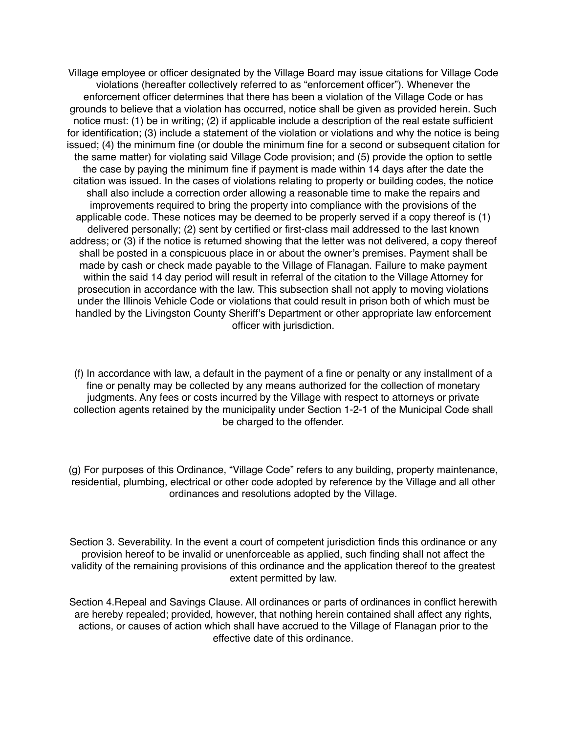Village employee or officer designated by the Village Board may issue citations for Village Code violations (hereafter collectively referred to as "enforcement officer"). Whenever the enforcement officer determines that there has been a violation of the Village Code or has grounds to believe that a violation has occurred, notice shall be given as provided herein. Such notice must: (1) be in writing; (2) if applicable include a description of the real estate sufficient for identification; (3) include a statement of the violation or violations and why the notice is being issued; (4) the minimum fine (or double the minimum fine for a second or subsequent citation for the same matter) for violating said Village Code provision; and (5) provide the option to settle the case by paying the minimum fine if payment is made within 14 days after the date the citation was issued. In the cases of violations relating to property or building codes, the notice shall also include a correction order allowing a reasonable time to make the repairs and improvements required to bring the property into compliance with the provisions of the applicable code. These notices may be deemed to be properly served if a copy thereof is (1) delivered personally; (2) sent by certified or first-class mail addressed to the last known address; or (3) if the notice is returned showing that the letter was not delivered, a copy thereof shall be posted in a conspicuous place in or about the owner's premises. Payment shall be made by cash or check made payable to the Village of Flanagan. Failure to make payment within the said 14 day period will result in referral of the citation to the Village Attorney for prosecution in accordance with the law. This subsection shall not apply to moving violations under the Illinois Vehicle Code or violations that could result in prison both of which must be handled by the Livingston County Sheriff's Department or other appropriate law enforcement officer with jurisdiction.

(f) In accordance with law, a default in the payment of a fine or penalty or any installment of a fine or penalty may be collected by any means authorized for the collection of monetary judgments. Any fees or costs incurred by the Village with respect to attorneys or private collection agents retained by the municipality under Section 1-2-1 of the Municipal Code shall be charged to the offender.

(g) For purposes of this Ordinance, "Village Code" refers to any building, property maintenance, residential, plumbing, electrical or other code adopted by reference by the Village and all other ordinances and resolutions adopted by the Village.

Section 3. Severability. In the event a court of competent jurisdiction finds this ordinance or any provision hereof to be invalid or unenforceable as applied, such finding shall not affect the validity of the remaining provisions of this ordinance and the application thereof to the greatest extent permitted by law.

Section 4.Repeal and Savings Clause. All ordinances or parts of ordinances in conflict herewith are hereby repealed; provided, however, that nothing herein contained shall affect any rights, actions, or causes of action which shall have accrued to the Village of Flanagan prior to the effective date of this ordinance.